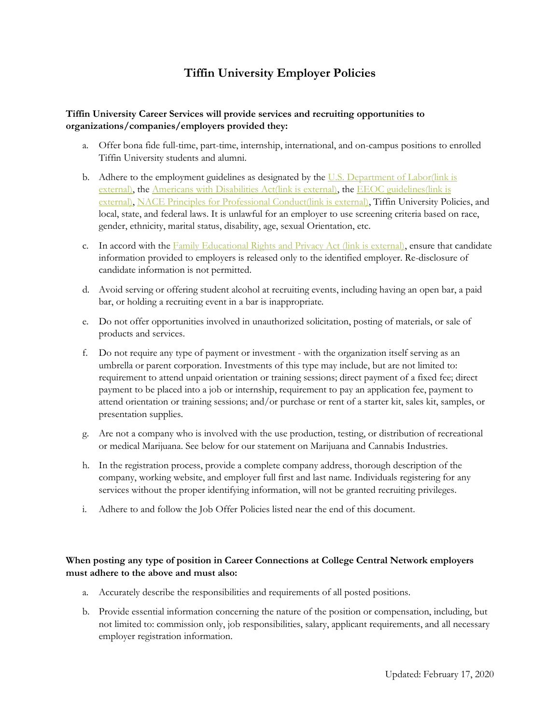# **Tiffin University Employer Policies**

# **Tiffin University Career Services will provide services and recruiting opportunities to organizations/companies/employers provided they:**

- a. Offer bona fide full-time, part-time, internship, international, and on-campus positions to enrolled Tiffin University students and alumni.
- b. Adhere to the employment guidelines as designated by the  $U.S.$  Department of Labor(link is [external\),](http://www.dol.gov/) the [Americans with Disabilities Act\(link is external\),](http://www.dol.gov/dol/topic/disability/ada.htm) the EEOC guidelines(link is [external\),](http://www.eeoc.gov/laws/regulations/) [NACE Principles for Professional Conduct\(link is external\),](http://www.naceweb.org/principles/#employment) Tiffin University Policies, and local, state, and federal laws. It is unlawful for an employer to use screening criteria based on race, gender, ethnicity, marital status, disability, age, sexual Orientation, etc.
- c. In accord with the [Family Educational Rights and Privacy Act \(link is external\),](http://www2.ed.gov/policy/gen/guid/fpco/ferpa/index.html) ensure that candidate information provided to employers is released only to the identified employer. Re-disclosure of candidate information is not permitted.
- d. Avoid serving or offering student alcohol at recruiting events, including having an open bar, a paid bar, or holding a recruiting event in a bar is inappropriate.
- e. Do not offer opportunities involved in unauthorized solicitation, posting of materials, or sale of products and services.
- f. Do not require any type of payment or investment with the organization itself serving as an umbrella or parent corporation. Investments of this type may include, but are not limited to: requirement to attend unpaid orientation or training sessions; direct payment of a fixed fee; direct payment to be placed into a job or internship, requirement to pay an application fee, payment to attend orientation or training sessions; and/or purchase or rent of a starter kit, sales kit, samples, or presentation supplies.
- g. Are not a company who is involved with the use production, testing, or distribution of recreational or medical Marijuana. See below for our statement on Marijuana and Cannabis Industries.
- h. In the registration process, provide a complete company address, thorough description of the company, working website, and employer full first and last name. Individuals registering for any services without the proper identifying information, will not be granted recruiting privileges.
- i. Adhere to and follow the Job Offer Policies listed near the end of this document.

# **When posting any type of position in Career Connections at College Central Network employers must adhere to the above and must also:**

- a. Accurately describe the responsibilities and requirements of all posted positions.
- b. Provide essential information concerning the nature of the position or compensation, including, but not limited to: commission only, job responsibilities, salary, applicant requirements, and all necessary employer registration information.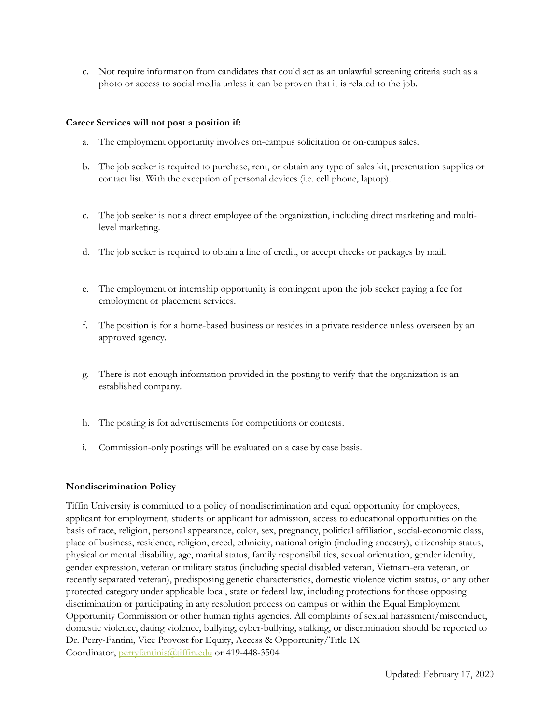c. Not require information from candidates that could act as an unlawful screening criteria such as a photo or access to social media unless it can be proven that it is related to the job.

## **Career Services will not post a position if:**

- a. The employment opportunity involves on-campus solicitation or on-campus sales.
- b. The job seeker is required to purchase, rent, or obtain any type of sales kit, presentation supplies or contact list. With the exception of personal devices (i.e. cell phone, laptop).
- c. The job seeker is not a direct employee of the organization, including direct marketing and multilevel marketing.
- d. The job seeker is required to obtain a line of credit, or accept checks or packages by mail.
- e. The employment or internship opportunity is contingent upon the job seeker paying a fee for employment or placement services.
- f. The position is for a home-based business or resides in a private residence unless overseen by an approved agency.
- g. There is not enough information provided in the posting to verify that the organization is an established company.
- h. The posting is for advertisements for competitions or contests.
- i. Commission-only postings will be evaluated on a case by case basis.

#### **Nondiscrimination Policy**

Tiffin University is committed to a policy of nondiscrimination and equal opportunity for employees, applicant for employment, students or applicant for admission, access to educational opportunities on the basis of race, religion, personal appearance, color, sex, pregnancy, political affiliation, social-economic class, place of business, residence, religion, creed, ethnicity, national origin (including ancestry), citizenship status, physical or mental disability, age, marital status, family responsibilities, sexual orientation, gender identity, gender expression, veteran or military status (including special disabled veteran, Vietnam-era veteran, or recently separated veteran), predisposing genetic characteristics, domestic violence victim status, or any other protected category under applicable local, state or federal law, including protections for those opposing discrimination or participating in any resolution process on campus or within the Equal Employment Opportunity Commission or other human rights agencies. All complaints of sexual harassment/misconduct, domestic violence, dating violence, bullying, cyber-bullying, stalking, or discrimination should be reported to Dr. Perry-Fantini, Vice Provost for Equity, Access & Opportunity/Title IX Coordinator, [perryfantinis@tiffin.edu](mailto:perryfantinis@tiffin.edu) or 419-448-3504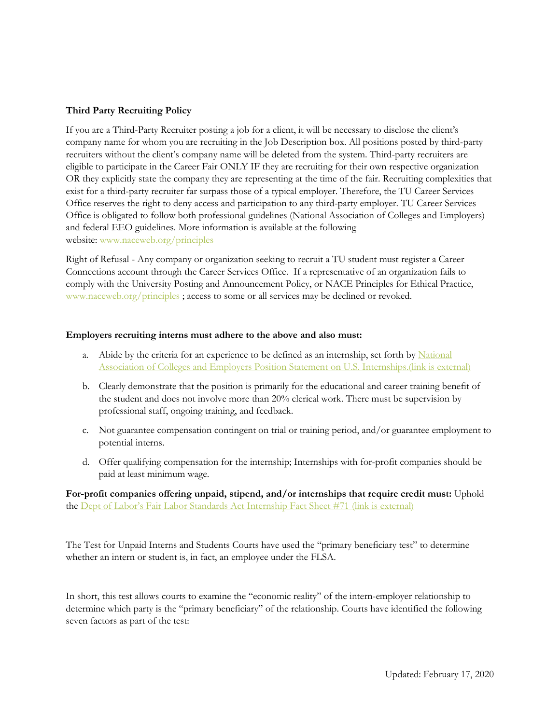# **Third Party Recruiting Policy**

If you are a Third-Party Recruiter posting a job for a client, it will be necessary to disclose the client's company name for whom you are recruiting in the Job Description box. All positions posted by third-party recruiters without the client's company name will be deleted from the system. Third-party recruiters are eligible to participate in the Career Fair ONLY IF they are recruiting for their own respective organization OR they explicitly state the company they are representing at the time of the fair. Recruiting complexities that exist for a third-party recruiter far surpass those of a typical employer. Therefore, the TU Career Services Office reserves the right to deny access and participation to any third-party employer. TU Career Services Office is obligated to follow both professional guidelines (National Association of Colleges and Employers) and federal EEO guidelines. More information is available at the following website: [www.naceweb.org/principles](http://www.naceweb.org/principles)

Right of Refusal - Any company or organization seeking to recruit a TU student must register a Career Connections account through the Career Services Office. If a representative of an organization fails to comply with the University Posting and Announcement Policy, or NACE Principles for Ethical Practice, [www.naceweb.org/principles](http://www.naceweb.org/principles) ; access to some or all services may be declined or revoked.

## **Employers recruiting interns must adhere to the above and also must:**

- a. Abide by the criteria for an experience to be defined as an internship, set forth by National [Association of Colleges and Employers Position Statement](http://www.naceweb.org/connections/advocacy/internship_position_paper/) on U.S. Internships.(link is external)
- b. Clearly demonstrate that the position is primarily for the educational and career training benefit of the student and does not involve more than 20% clerical work. There must be supervision by professional staff, ongoing training, and feedback.
- c. Not guarantee compensation contingent on trial or training period, and/or guarantee employment to potential interns.
- d. Offer qualifying compensation for the internship; Internships with for-profit companies should be paid at least minimum wage.

**For-profit companies offering unpaid, stipend, and/or internships that require credit must:** Uphold the [Dept of Labor's Fair Labor Standards Act Internship Fact Sheet #71](http://www.dol.gov/whd/regs/compliance/whdfs71.pdf) (link is external)

The Test for Unpaid Interns and Students Courts have used the "primary beneficiary test" to determine whether an intern or student is, in fact, an employee under the FLSA.

In short, this test allows courts to examine the "economic reality" of the intern-employer relationship to determine which party is the "primary beneficiary" of the relationship. Courts have identified the following seven factors as part of the test: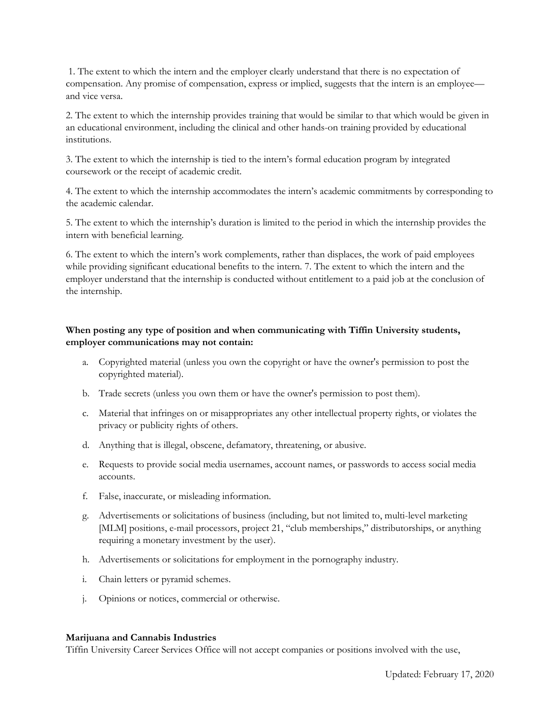1. The extent to which the intern and the employer clearly understand that there is no expectation of compensation. Any promise of compensation, express or implied, suggests that the intern is an employee and vice versa.

2. The extent to which the internship provides training that would be similar to that which would be given in an educational environment, including the clinical and other hands-on training provided by educational institutions.

3. The extent to which the internship is tied to the intern's formal education program by integrated coursework or the receipt of academic credit.

4. The extent to which the internship accommodates the intern's academic commitments by corresponding to the academic calendar.

5. The extent to which the internship's duration is limited to the period in which the internship provides the intern with beneficial learning.

6. The extent to which the intern's work complements, rather than displaces, the work of paid employees while providing significant educational benefits to the intern. 7. The extent to which the intern and the employer understand that the internship is conducted without entitlement to a paid job at the conclusion of the internship.

# **When posting any type of position and when communicating with Tiffin University students, employer communications may not contain:**

- a. Copyrighted material (unless you own the copyright or have the owner's permission to post the copyrighted material).
- b. Trade secrets (unless you own them or have the owner's permission to post them).
- c. Material that infringes on or misappropriates any other intellectual property rights, or violates the privacy or publicity rights of others.
- d. Anything that is illegal, obscene, defamatory, threatening, or abusive.
- e. Requests to provide social media usernames, account names, or passwords to access social media accounts.
- f. False, inaccurate, or misleading information.
- g. Advertisements or solicitations of business (including, but not limited to, multi-level marketing [MLM] positions, e-mail processors, project 21, "club memberships," distributorships, or anything requiring a monetary investment by the user).
- h. Advertisements or solicitations for employment in the pornography industry.
- i. Chain letters or pyramid schemes.
- j. Opinions or notices, commercial or otherwise.

#### **Marijuana and Cannabis Industries**

Tiffin University Career Services Office will not accept companies or positions involved with the use,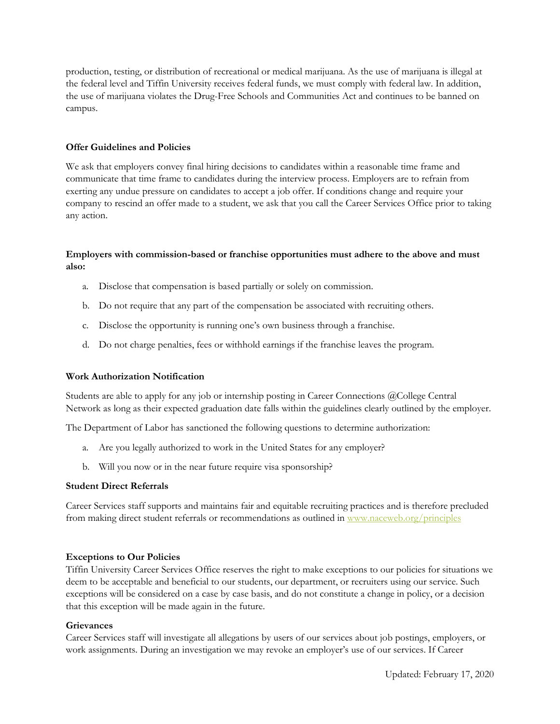production, testing, or distribution of recreational or medical marijuana. As the use of marijuana is illegal at the federal level and Tiffin University receives federal funds, we must comply with federal law. In addition, the use of marijuana violates the Drug-Free Schools and Communities Act and continues to be banned on campus.

## **Offer Guidelines and Policies**

We ask that employers convey final hiring decisions to candidates within a reasonable time frame and communicate that time frame to candidates during the interview process. Employers are to refrain from exerting any undue pressure on candidates to accept a job offer. If conditions change and require your company to rescind an offer made to a student, we ask that you call the Career Services Office prior to taking any action.

# **Employers with commission-based or franchise opportunities must adhere to the above and must also:**

- a. Disclose that compensation is based partially or solely on commission.
- b. Do not require that any part of the compensation be associated with recruiting others.
- c. Disclose the opportunity is running one's own business through a franchise.
- d. Do not charge penalties, fees or withhold earnings if the franchise leaves the program.

#### **Work Authorization Notification**

Students are able to apply for any job or internship posting in Career Connections @College Central Network as long as their expected graduation date falls within the guidelines clearly outlined by the employer.

The Department of Labor has sanctioned the following questions to determine authorization:

- a. Are you legally authorized to work in the United States for any employer?
- b. Will you now or in the near future require visa sponsorship?

#### **Student Direct Referrals**

Career Services staff supports and maintains fair and equitable recruiting practices and is therefore precluded from making direct student referrals or recommendations as outlined in [www.naceweb.org/principles](http://www.naceweb.org/principles)

#### **Exceptions to Our Policies**

Tiffin University Career Services Office reserves the right to make exceptions to our policies for situations we deem to be acceptable and beneficial to our students, our department, or recruiters using our service. Such exceptions will be considered on a case by case basis, and do not constitute a change in policy, or a decision that this exception will be made again in the future.

## **Grievances**

Career Services staff will investigate all allegations by users of our services about job postings, employers, or work assignments. During an investigation we may revoke an employer's use of our services. If Career